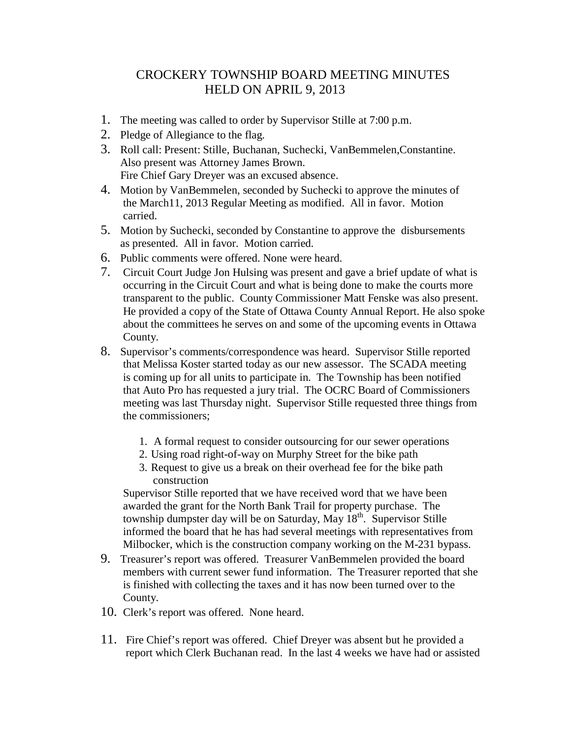## CROCKERY TOWNSHIP BOARD MEETING MINUTES HELD ON APRIL 9, 2013

- 1. The meeting was called to order by Supervisor Stille at 7:00 p.m.
- 2. Pledge of Allegiance to the flag.
- 3. Roll call: Present: Stille, Buchanan, Suchecki, VanBemmelen,Constantine. Also present was Attorney James Brown. Fire Chief Gary Dreyer was an excused absence.
- 4. Motion by VanBemmelen, seconded by Suchecki to approve the minutes of the March11, 2013 Regular Meeting as modified. All in favor. Motion carried.
- 5. Motion by Suchecki, seconded by Constantine to approve the disbursements as presented. All in favor. Motion carried.
- 6. Public comments were offered. None were heard.
- 7. Circuit Court Judge Jon Hulsing was present and gave a brief update of what is occurring in the Circuit Court and what is being done to make the courts more transparent to the public. County Commissioner Matt Fenske was also present. He provided a copy of the State of Ottawa County Annual Report. He also spoke about the committees he serves on and some of the upcoming events in Ottawa County.
- 8. Supervisor's comments/correspondence was heard. Supervisor Stille reported that Melissa Koster started today as our new assessor. The SCADA meeting is coming up for all units to participate in. The Township has been notified that Auto Pro has requested a jury trial. The OCRC Board of Commissioners meeting was last Thursday night. Supervisor Stille requested three things from the commissioners;
	- 1. A formal request to consider outsourcing for our sewer operations
	- 2. Using road right-of-way on Murphy Street for the bike path
	- 3. Request to give us a break on their overhead fee for the bike path construction

 Supervisor Stille reported that we have received word that we have been awarded the grant for the North Bank Trail for property purchase. The township dumpster day will be on Saturday, May 18<sup>th</sup>. Supervisor Stille informed the board that he has had several meetings with representatives from Milbocker, which is the construction company working on the M-231 bypass.

- 9. Treasurer's report was offered. Treasurer VanBemmelen provided the board members with current sewer fund information. The Treasurer reported that she is finished with collecting the taxes and it has now been turned over to the County.
- 10. Clerk's report was offered. None heard.
- 11. Fire Chief's report was offered. Chief Dreyer was absent but he provided a report which Clerk Buchanan read. In the last 4 weeks we have had or assisted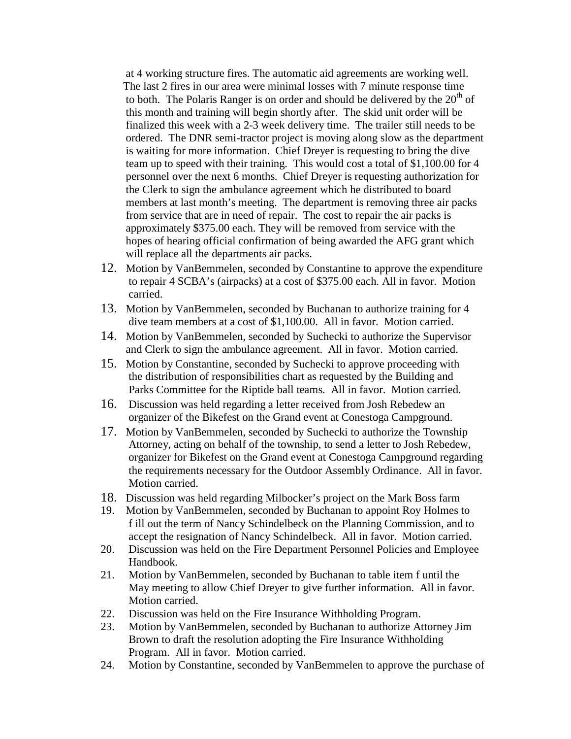at 4 working structure fires. The automatic aid agreements are working well. The last 2 fires in our area were minimal losses with 7 minute response time to both. The Polaris Ranger is on order and should be delivered by the  $20<sup>th</sup>$  of this month and training will begin shortly after. The skid unit order will be finalized this week with a 2-3 week delivery time. The trailer still needs to be ordered. The DNR semi-tractor project is moving along slow as the department is waiting for more information. Chief Dreyer is requesting to bring the dive team up to speed with their training. This would cost a total of \$1,100.00 for 4 personnel over the next 6 months. Chief Dreyer is requesting authorization for the Clerk to sign the ambulance agreement which he distributed to board members at last month's meeting. The department is removing three air packs from service that are in need of repair. The cost to repair the air packs is approximately \$375.00 each. They will be removed from service with the hopes of hearing official confirmation of being awarded the AFG grant which will replace all the departments air packs.

- 12. Motion by VanBemmelen, seconded by Constantine to approve the expenditure to repair 4 SCBA's (airpacks) at a cost of \$375.00 each. All in favor. Motion carried.
- 13. Motion by VanBemmelen, seconded by Buchanan to authorize training for 4 dive team members at a cost of \$1,100.00. All in favor. Motion carried.
- 14. Motion by VanBemmelen, seconded by Suchecki to authorize the Supervisor and Clerk to sign the ambulance agreement. All in favor. Motion carried.
- 15. Motion by Constantine, seconded by Suchecki to approve proceeding with the distribution of responsibilities chart as requested by the Building and Parks Committee for the Riptide ball teams. All in favor. Motion carried.
- 16. Discussion was held regarding a letter received from Josh Rebedew an organizer of the Bikefest on the Grand event at Conestoga Campground.
- 17. Motion by VanBemmelen, seconded by Suchecki to authorize the Township Attorney, acting on behalf of the township, to send a letter to Josh Rebedew, organizer for Bikefest on the Grand event at Conestoga Campground regarding the requirements necessary for the Outdoor Assembly Ordinance. All in favor. Motion carried.
- 18. Discussion was held regarding Milbocker's project on the Mark Boss farm
- 19. Motion by VanBemmelen, seconded by Buchanan to appoint Roy Holmes to f ill out the term of Nancy Schindelbeck on the Planning Commission, and to accept the resignation of Nancy Schindelbeck. All in favor. Motion carried.
- 20. Discussion was held on the Fire Department Personnel Policies and Employee Handbook.
- 21. Motion by VanBemmelen, seconded by Buchanan to table item f until the May meeting to allow Chief Dreyer to give further information. All in favor. Motion carried.
- 22. Discussion was held on the Fire Insurance Withholding Program.
- 23. Motion by VanBemmelen, seconded by Buchanan to authorize Attorney Jim Brown to draft the resolution adopting the Fire Insurance Withholding Program. All in favor. Motion carried.
- 24. Motion by Constantine, seconded by VanBemmelen to approve the purchase of